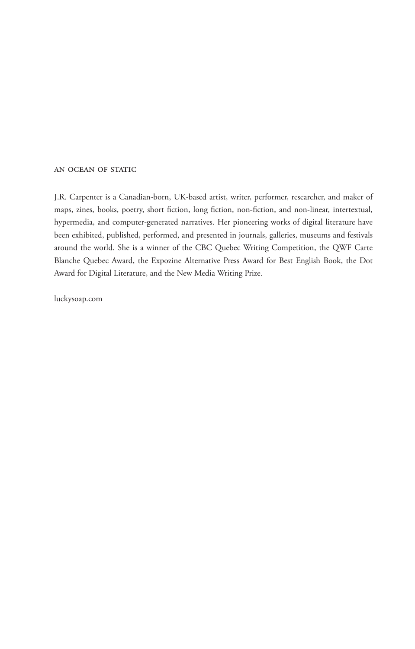#### an ocean of static

J.R. Carpenter is a Canadian-born, UK-based artist, writer, performer, researcher, and maker of maps, zines, books, poetry, short fiction, long fiction, non-fiction, and non-linear, intertextual, hypermedia, and computer-generated narratives. Her pioneering works of digital literature have been exhibited, published, performed, and presented in journals, galleries, museums and festivals around the world. She is a winner of the CBC Quebec Writing Competition, the QWF Carte Blanche Quebec Award, the Expozine Alternative Press Award for Best English Book, the Dot Award for Digital Literature, and the New Media Writing Prize.

luckysoap.com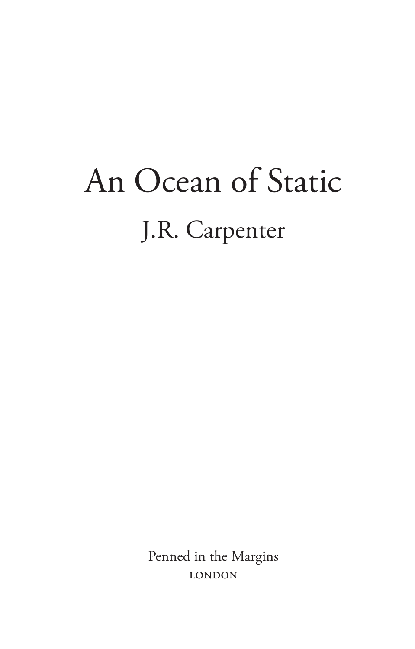## An Ocean of Static J.R. Carpenter

Penned in the Margins **LONDON**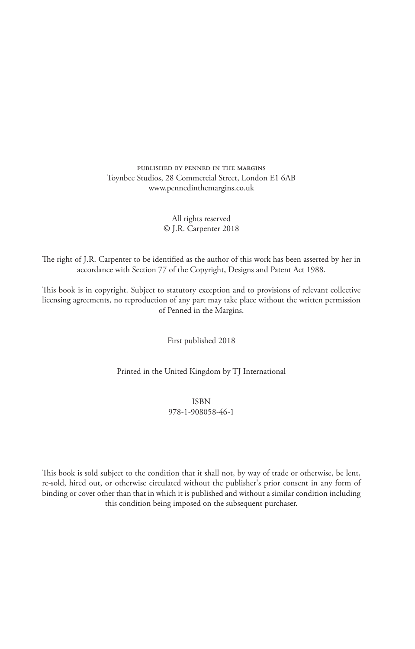published by penned in the margins Toynbee Studios, 28 Commercial Street, London E1 6AB www.pennedinthemargins.co.uk

> All rights reserved © J.R. Carpenter 2018

The right of J.R. Carpenter to be identified as the author of this work has been asserted by her in accordance with Section 77 of the Copyright, Designs and Patent Act 1988.

This book is in copyright. Subject to statutory exception and to provisions of relevant collective licensing agreements, no reproduction of any part may take place without the written permission of Penned in the Margins.

First published 2018

Printed in the United Kingdom by TJ International

ISBN 978-1-908058-46-1

This book is sold subject to the condition that it shall not, by way of trade or otherwise, be lent, re-sold, hired out, or otherwise circulated without the publisher's prior consent in any form of binding or cover other than that in which it is published and without a similar condition including this condition being imposed on the subsequent purchaser.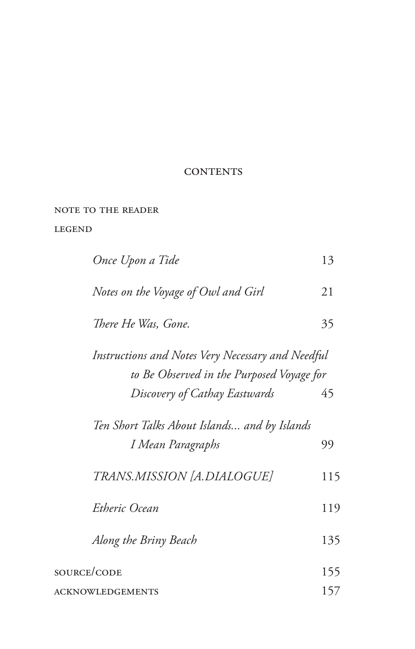### **CONTENTS**

note to the reader

### legend

| Once Upon a Tide                                                                                                                | 13  |
|---------------------------------------------------------------------------------------------------------------------------------|-----|
| Notes on the Voyage of Owl and Girl                                                                                             | 21  |
| There He Was, Gone.                                                                                                             | 35  |
| Instructions and Notes Very Necessary and Needful<br>to Be Observed in the Purposed Voyage for<br>Discovery of Cathay Eastwards | 45  |
| Ten Short Talks About Islands and by Islands<br>I Mean Paragraphs                                                               | 99  |
| TRANS.MISSION [A.DIALOGUE]                                                                                                      | 115 |
| Etheric Ocean                                                                                                                   | 119 |
| Along the Briny Beach                                                                                                           | 135 |
| <b>SOURCE/CODE</b>                                                                                                              | 155 |
| ACKNOWLEDGEMENTS                                                                                                                | 157 |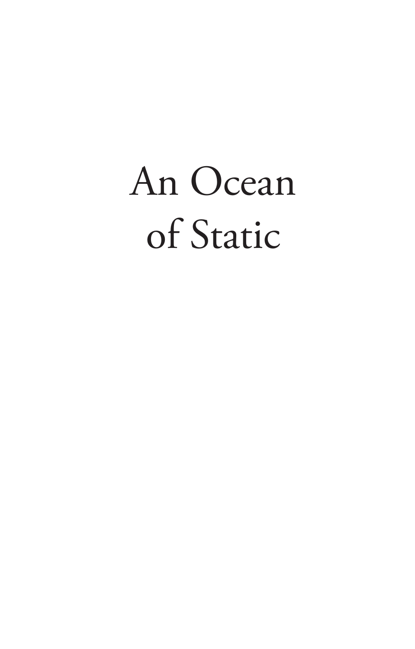# An Ocean of Static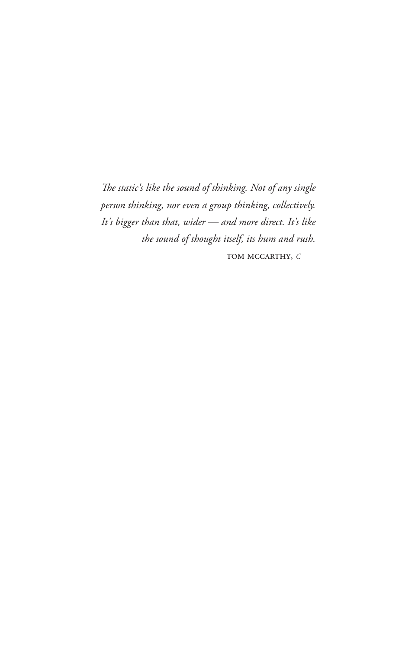The static's like the sound of thinking. Not of any single person thinking, nor even a group thinking, collectively. It's bigger than that, wider - and more direct. It's like the sound of thought itself, its hum and rush. TOM MCCARTHY, C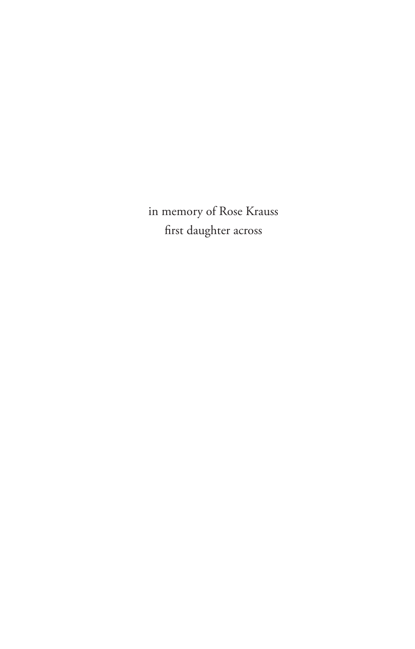in memory of Rose Krauss first daughter across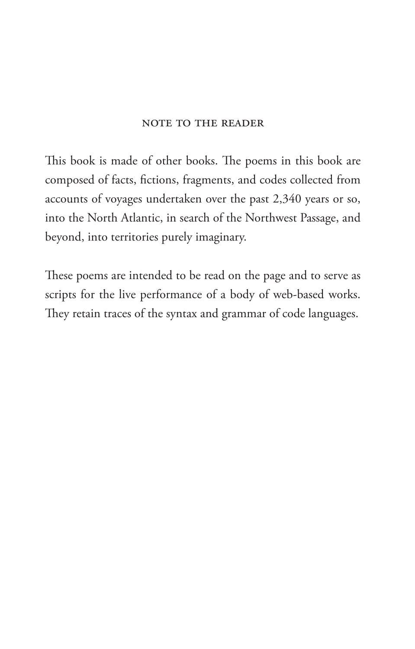### note to the reader

This book is made of other books. The poems in this book are composed of facts, fictions, fragments, and codes collected from accounts of voyages undertaken over the past 2,340 years or so, into the North Atlantic, in search of the Northwest Passage, and beyond, into territories purely imaginary.

These poems are intended to be read on the page and to serve as scripts for the live performance of a body of web-based works. They retain traces of the syntax and grammar of code languages.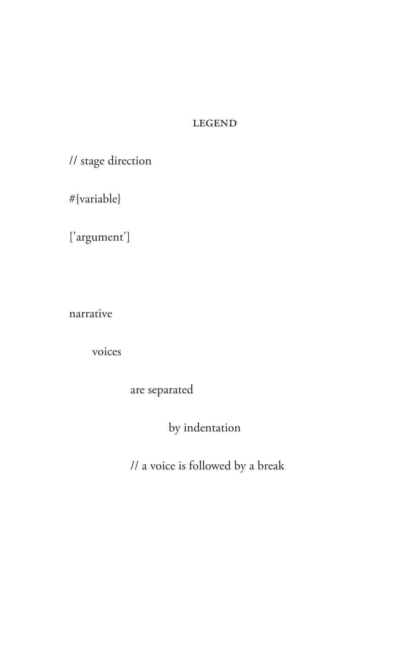### **LEGEND**

// stage direction

#{variable}

['argument']

narrative

voices

are separated

by indentation

// a voice is followed by a break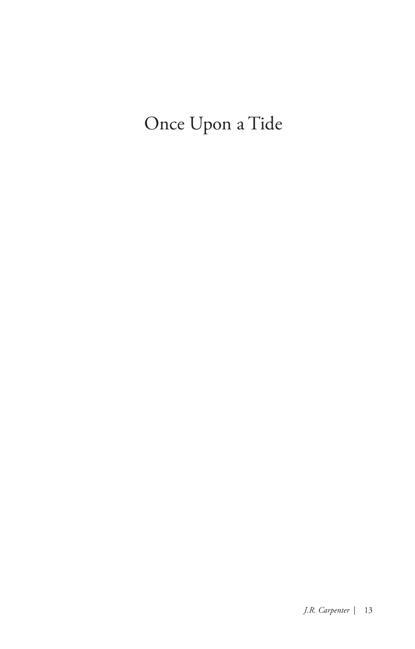Once Upon a Tide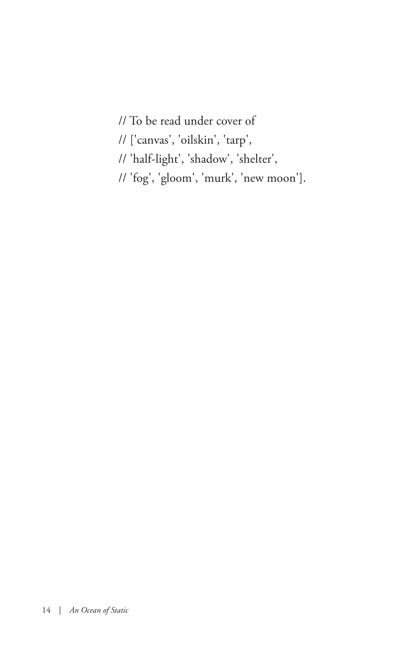- // To be read under cover of
- // ['canvas', 'oilskin', 'tarp',
- // 'half-light', 'shadow', 'shelter',
- // 'fog', 'gloom', 'murk', 'new moon'].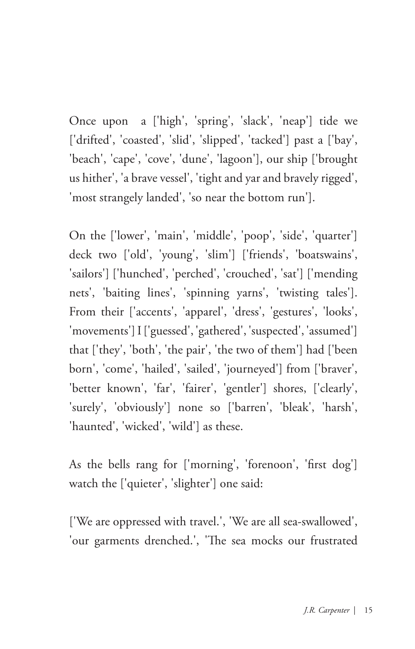Once upon a ['high', 'spring', 'slack', 'neap'] tide we ['drifted', 'coasted', 'slid', 'slipped', 'tacked'] past a ['bay', 'beach', 'cape', 'cove', 'dune', 'lagoon'], our ship ['brought us hither', 'a brave vessel', 'tight and yar and bravely rigged', 'most strangely landed', 'so near the bottom run'].

On the ['lower', 'main', 'middle', 'poop', 'side', 'quarter'] deck two ['old', 'young', 'slim'] ['friends', 'boatswains', 'sailors'] ['hunched', 'perched', 'crouched', 'sat'] ['mending nets', 'baiting lines', 'spinning yarns', 'twisting tales']. From their ['accents', 'apparel', 'dress', 'gestures', 'looks', 'movements'] I ['guessed', 'gathered', 'suspected', 'assumed'] that ['they', 'both', 'the pair', 'the two of them'] had ['been born', 'come', 'hailed', 'sailed', 'journeyed'] from ['braver', 'better known', 'far', 'fairer', 'gentler'] shores, ['clearly', 'surely', 'obviously'] none so ['barren', 'bleak', 'harsh', 'haunted', 'wicked', 'wild'] as these.

As the bells rang for ['morning', 'forenoon', 'first dog'] watch the ['quieter', 'slighter'] one said:

['We are oppressed with travel.', 'We are all sea-swallowed', 'our garments drenched.', 'The sea mocks our frustrated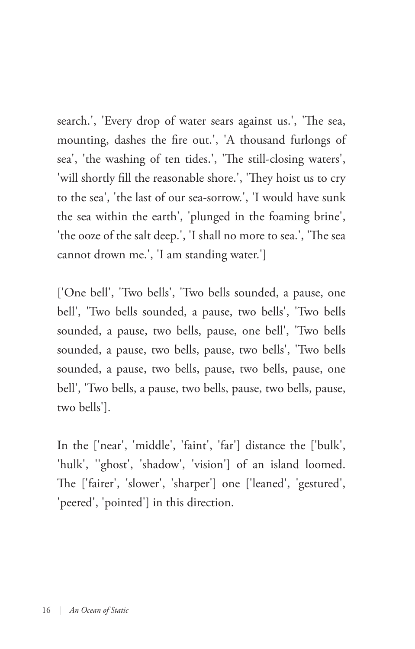search.', 'Every drop of water sears against us.', 'The sea, mounting, dashes the fire out.', 'A thousand furlongs of sea', 'the washing of ten tides.', 'The still-closing waters', 'will shortly fill the reasonable shore.', 'They hoist us to cry to the sea', 'the last of our sea-sorrow.', 'I would have sunk the sea within the earth', 'plunged in the foaming brine', 'the ooze of the salt deep.', 'I shall no more to sea.', 'The sea cannot drown me.', 'I am standing water.']

['One bell', 'Two bells', 'Two bells sounded, a pause, one bell', 'Two bells sounded, a pause, two bells', 'Two bells sounded, a pause, two bells, pause, one bell', 'Two bells sounded, a pause, two bells, pause, two bells', 'Two bells sounded, a pause, two bells, pause, two bells, pause, one bell', 'Two bells, a pause, two bells, pause, two bells, pause, two bells'].

In the ['near', 'middle', 'faint', 'far'] distance the ['bulk', 'hulk', ''ghost', 'shadow', 'vision'] of an island loomed. The ['fairer', 'slower', 'sharper'] one ['leaned', 'gestured', 'peered', 'pointed'] in this direction.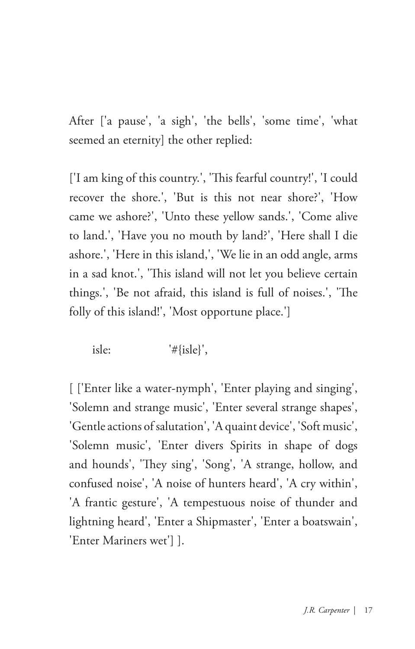After ['a pause', 'a sigh', 'the bells', 'some time', 'what seemed an eternity] the other replied:

['I am king of this country.', 'This fearful country!', 'I could recover the shore.', 'But is this not near shore?', 'How came we ashore?', 'Unto these yellow sands.', 'Come alive to land.', 'Have you no mouth by land?', 'Here shall I die ashore.', 'Here in this island,', 'We lie in an odd angle, arms in a sad knot.', 'This island will not let you believe certain things.', 'Be not afraid, this island is full of noises.', 'The folly of this island!', 'Most opportune place.']

isle: '#{isle}',

[ ['Enter like a water-nymph', 'Enter playing and singing', 'Solemn and strange music', 'Enter several strange shapes', 'Gentle actions of salutation', 'A quaint device', 'Soft music', 'Solemn music', 'Enter divers Spirits in shape of dogs and hounds', 'They sing', 'Song', 'A strange, hollow, and confused noise', 'A noise of hunters heard', 'A cry within', 'A frantic gesture', 'A tempestuous noise of thunder and lightning heard', 'Enter a Shipmaster', 'Enter a boatswain', 'Enter Mariners wet'] ].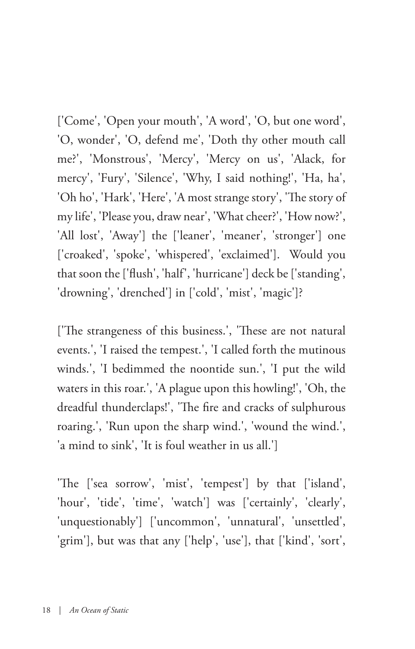['Come', 'Open your mouth', 'A word', 'O, but one word', 'O, wonder', 'O, defend me', 'Doth thy other mouth call me?', 'Monstrous', 'Mercy', 'Mercy on us', 'Alack, for mercy', 'Fury', 'Silence', 'Why, I said nothing!', 'Ha, ha', 'Oh ho', 'Hark', 'Here', 'A most strange story', 'The story of my life', 'Please you, draw near', 'What cheer?', 'How now?', 'All lost', 'Away'] the ['leaner', 'meaner', 'stronger'] one ['croaked', 'spoke', 'whispered', 'exclaimed']. Would you that soon the ['flush', 'half', 'hurricane'] deck be ['standing', 'drowning', 'drenched'] in ['cold', 'mist', 'magic']?

['The strangeness of this business.', 'These are not natural events.', 'I raised the tempest.', 'I called forth the mutinous winds.', 'I bedimmed the noontide sun.', 'I put the wild waters in this roar.', 'A plague upon this howling!', 'Oh, the dreadful thunderclaps!', 'The fire and cracks of sulphurous roaring.', 'Run upon the sharp wind.', 'wound the wind.', 'a mind to sink', 'It is foul weather in us all.']

'The ['sea sorrow', 'mist', 'tempest'] by that ['island', 'hour', 'tide', 'time', 'watch'] was ['certainly', 'clearly', 'unquestionably'] ['uncommon', 'unnatural', 'unsettled', 'grim'], but was that any ['help', 'use'], that ['kind', 'sort',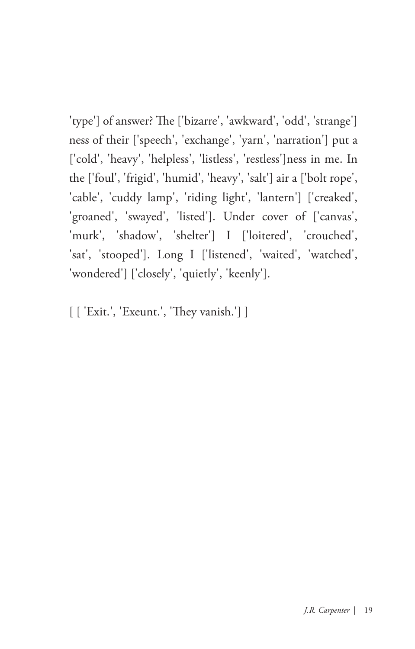'type'] of answer? The ['bizarre', 'awkward', 'odd', 'strange'] ness of their ['speech', 'exchange', 'yarn', 'narration'] put a ['cold', 'heavy', 'helpless', 'listless', 'restless']ness in me. In the ['foul', 'frigid', 'humid', 'heavy', 'salt'] air a ['bolt rope', 'cable', 'cuddy lamp', 'riding light', 'lantern'] ['creaked', 'groaned', 'swayed', 'listed']. Under cover of ['canvas', 'murk', 'shadow', 'shelter'] I ['loitered', 'crouched', 'sat', 'stooped']. Long I ['listened', 'waited', 'watched', 'wondered'] ['closely', 'quietly', 'keenly'].

[ [ 'Exit.', 'Exeunt.', 'They vanish.'] ]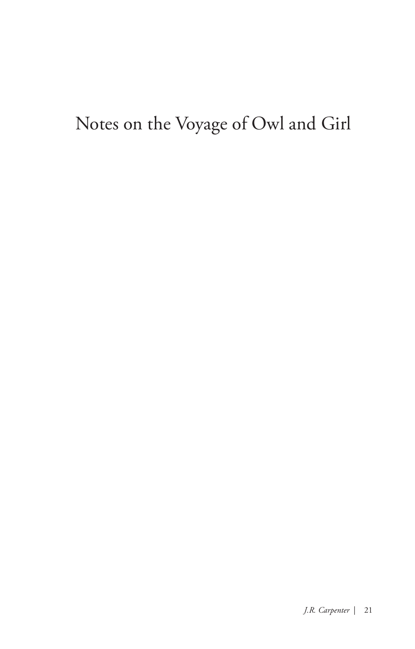### Notes on the Voyage of Owl and Girl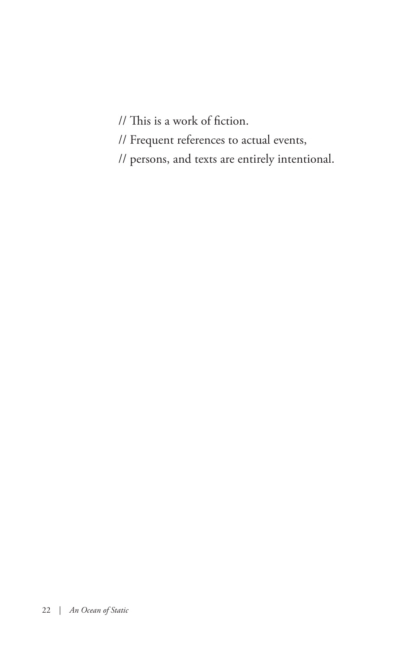// This is a work of fiction.

// Frequent references to actual events,

// persons, and texts are entirely intentional.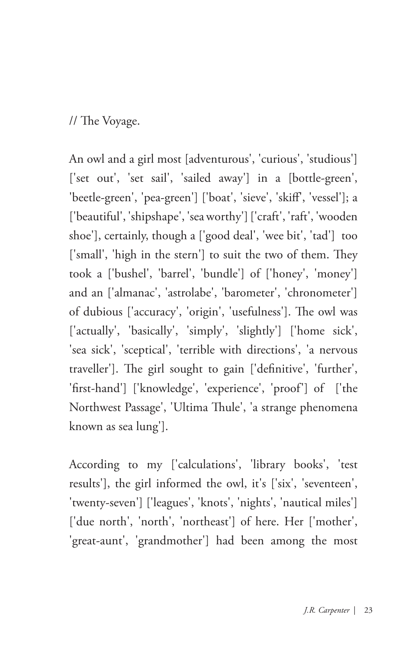// The Voyage.

An owl and a girl most [adventurous', 'curious', 'studious'] ['set out', 'set sail', 'sailed away'] in a [bottle-green', 'beetle-green', 'pea-green'] ['boat', 'sieve', 'skiff', 'vessel']; a ['beautiful', 'shipshape', 'sea worthy'] ['craft', 'raft', 'wooden shoe'], certainly, though a ['good deal', 'wee bit', 'tad'] too ['small', 'high in the stern'] to suit the two of them. They took a ['bushel', 'barrel', 'bundle'] of ['honey', 'money'] and an ['almanac', 'astrolabe', 'barometer', 'chronometer'] of dubious ['accuracy', 'origin', 'usefulness']. The owl was ['actually', 'basically', 'simply', 'slightly'] ['home sick', 'sea sick', 'sceptical', 'terrible with directions', 'a nervous traveller']. The girl sought to gain ['definitive', 'further', 'first-hand'] ['knowledge', 'experience', 'proof'] of ['the Northwest Passage', 'Ultima Thule', 'a strange phenomena known as sea lung'].

According to my ['calculations', 'library books', 'test results'], the girl informed the owl, it's ['six', 'seventeen', 'twenty-seven'] ['leagues', 'knots', 'nights', 'nautical miles'] ['due north', 'north', 'northeast'] of here. Her ['mother', 'great-aunt', 'grandmother'] had been among the most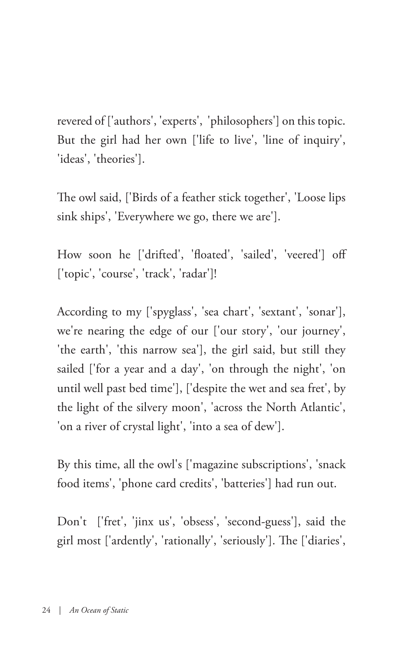revered of ['authors', 'experts', 'philosophers'] on this topic. But the girl had her own ['life to live', 'line of inquiry', 'ideas', 'theories'].

The owl said, ['Birds of a feather stick together', 'Loose lips sink ships', 'Everywhere we go, there we are'].

How soon he ['drifted', 'floated', 'sailed', 'veered'] off ['topic', 'course', 'track', 'radar']!

According to my ['spyglass', 'sea chart', 'sextant', 'sonar'], we're nearing the edge of our ['our story', 'our journey', 'the earth', 'this narrow sea'], the girl said, but still they sailed ['for a year and a day', 'on through the night', 'on until well past bed time'], ['despite the wet and sea fret', by the light of the silvery moon', 'across the North Atlantic', 'on a river of crystal light', 'into a sea of dew'].

By this time, all the owl's ['magazine subscriptions', 'snack food items', 'phone card credits', 'batteries'] had run out.

Don't ['fret', 'jinx us', 'obsess', 'second-guess'], said the girl most ['ardently', 'rationally', 'seriously']. The ['diaries',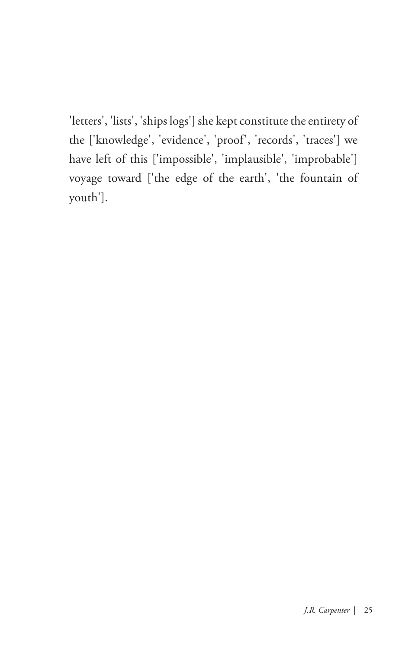'letters', 'lists', 'ships logs'] she kept constitute the entirety of the ['knowledge', 'evidence', 'proof', 'records', 'traces'] we have left of this ['impossible', 'implausible', 'improbable'] voyage toward ['the edge of the earth', 'the fountain of youth'].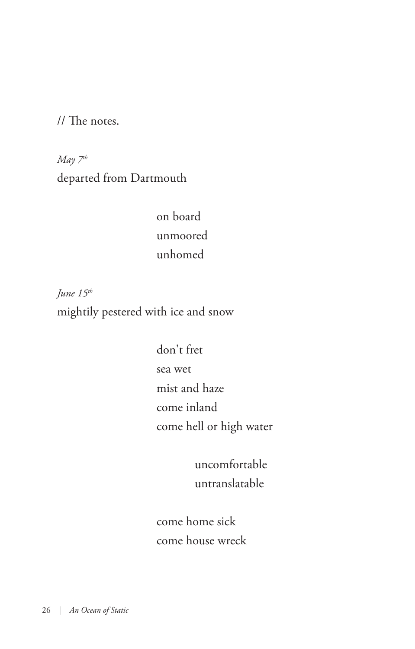// The notes.

*May 7th* departed from Dartmouth

> on board unmoored unhomed

*June 15th* mightily pestered with ice and snow

> don't fret sea wet mist and haze come inland come hell or high water

> > uncomfortable untranslatable

 come home sick come house wreck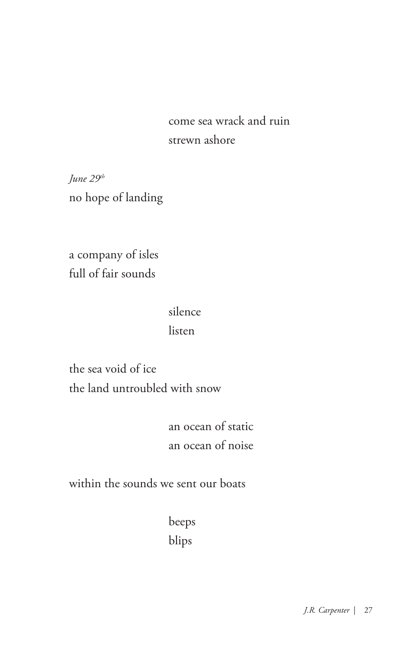come sea wrack and ruin strewn ashore

*June 29th* no hope of landing

a company of isles full of fair sounds

### silence

### listen

the sea void of ice the land untroubled with snow

> an ocean of static an ocean of noise

within the sounds we sent our boats

 beeps blips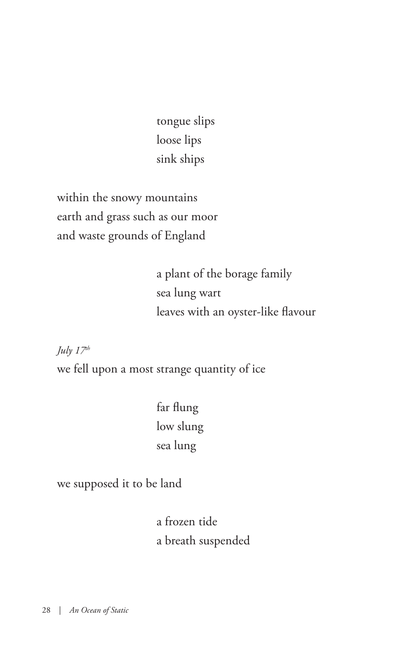tongue slips loose lips sink ships

within the snowy mountains earth and grass such as our moor and waste grounds of England

> a plant of the borage family sea lung wart leaves with an oyster-like flavour

*July*  $17<sup>th</sup>$ 

we fell upon a most strange quantity of ice

 far flung low slung sea lung

we supposed it to be land

 a frozen tide a breath suspended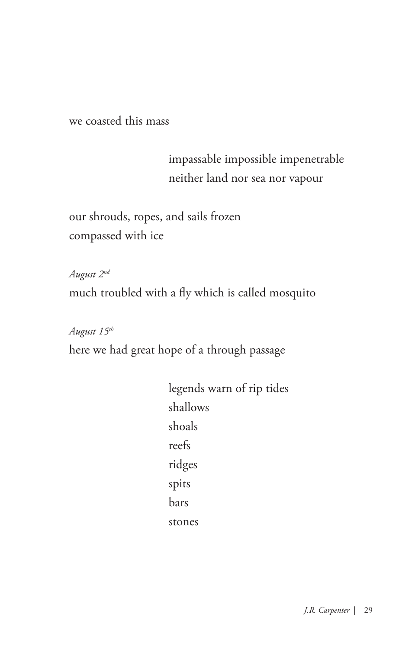we coasted this mass

 impassable impossible impenetrable neither land nor sea nor vapour

our shrouds, ropes, and sails frozen compassed with ice

*August 2nd* much troubled with a fly which is called mosquito

*August 15th* here we had great hope of a through passage

> legends warn of rip tides shallows shoals reefs ridges spits bars stones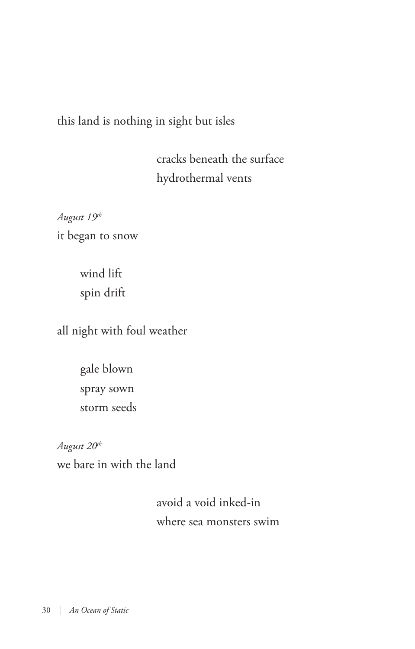### this land is nothing in sight but isles

 cracks beneath the surface hydrothermal vents

*August 19th* it began to snow

> wind lift spin drift

all night with foul weather

gale blown spray sown storm seeds

*August 20th* we bare in with the land

> avoid a void inked-in where sea monsters swim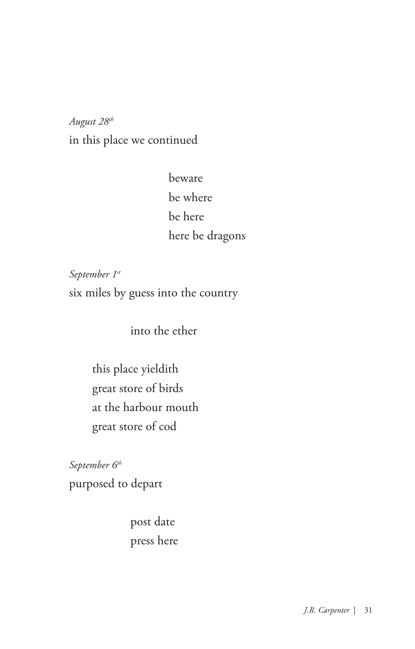*August 28th* in this place we continued

> beware be where be here here be dragons

*September 1st* six miles by guess into the country

into the ether

this place yieldith great store of birds at the harbour mouth great store of cod

*September 6th* purposed to depart

> post date press here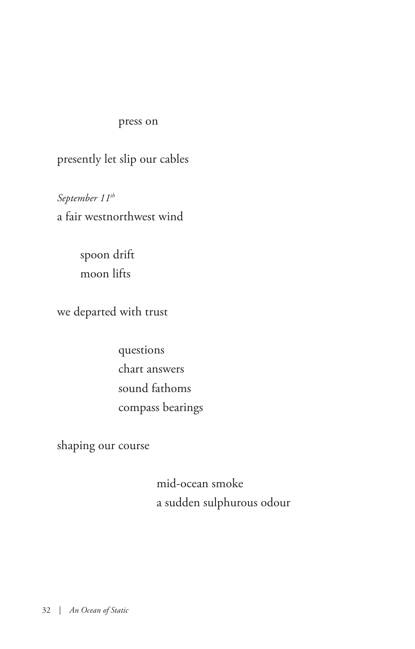### press on

presently let slip our cables

*September 11th* a fair westnorthwest wind

> spoon drift moon lifts

we departed with trust

 questions chart answers sound fathoms compass bearings

shaping our course

 mid-ocean smoke a sudden sulphurous odour